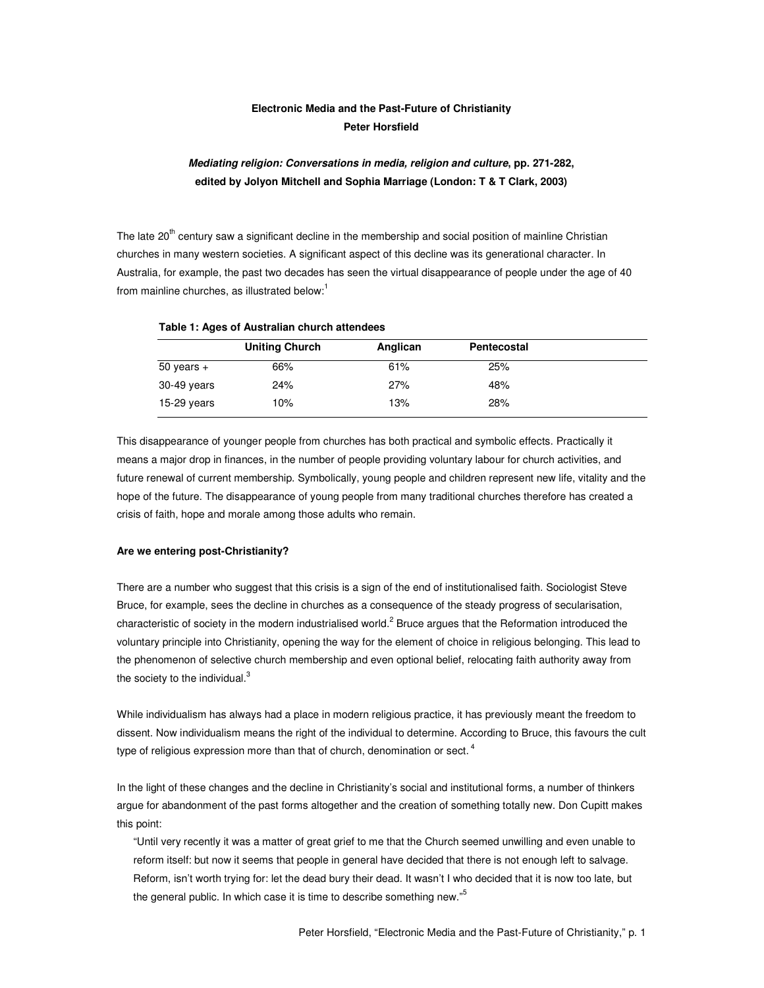# **Electronic Media and the Past-Future of Christianity Peter Horsfield**

# **Mediating religion: Conversations in media, religion and culture, pp. 271-282, edited by Jolyon Mitchell and Sophia Marriage (London: T & T Clark, 2003)**

The late 20<sup>th</sup> century saw a significant decline in the membership and social position of mainline Christian churches in many western societies. A significant aspect of this decline was its generational character. In Australia, for example, the past two decades has seen the virtual disappearance of people under the age of 40 from mainline churches, as illustrated below:<sup>1</sup>

|              | <b>Uniting Church</b> | Anglican | Pentecostal |
|--------------|-----------------------|----------|-------------|
| 50 years $+$ | 66%                   | 61%      | 25%         |
| 30-49 years  | 24%                   | 27%      | 48%         |
| 15-29 years  | 10%                   | 13%      | 28%         |

# **Table 1: Ages of Australian church attendees**

This disappearance of younger people from churches has both practical and symbolic effects. Practically it means a major drop in finances, in the number of people providing voluntary labour for church activities, and future renewal of current membership. Symbolically, young people and children represent new life, vitality and the hope of the future. The disappearance of young people from many traditional churches therefore has created a crisis of faith, hope and morale among those adults who remain.

# **Are we entering post-Christianity?**

There are a number who suggest that this crisis is a sign of the end of institutionalised faith. Sociologist Steve Bruce, for example, sees the decline in churches as a consequence of the steady progress of secularisation, characteristic of society in the modern industrialised world.<sup>2</sup> Bruce argues that the Reformation introduced the voluntary principle into Christianity, opening the way for the element of choice in religious belonging. This lead to the phenomenon of selective church membership and even optional belief, relocating faith authority away from the society to the individual. $3$ 

While individualism has always had a place in modern religious practice, it has previously meant the freedom to dissent. Now individualism means the right of the individual to determine. According to Bruce, this favours the cult type of religious expression more than that of church, denomination or sect. $4$ 

In the light of these changes and the decline in Christianity's social and institutional forms, a number of thinkers argue for abandonment of the past forms altogether and the creation of something totally new. Don Cupitt makes this point:

"Until very recently it was a matter of great grief to me that the Church seemed unwilling and even unable to reform itself: but now it seems that people in general have decided that there is not enough left to salvage. Reform, isn't worth trying for: let the dead bury their dead. It wasn't I who decided that it is now too late, but the general public. In which case it is time to describe something new."<sup>5</sup>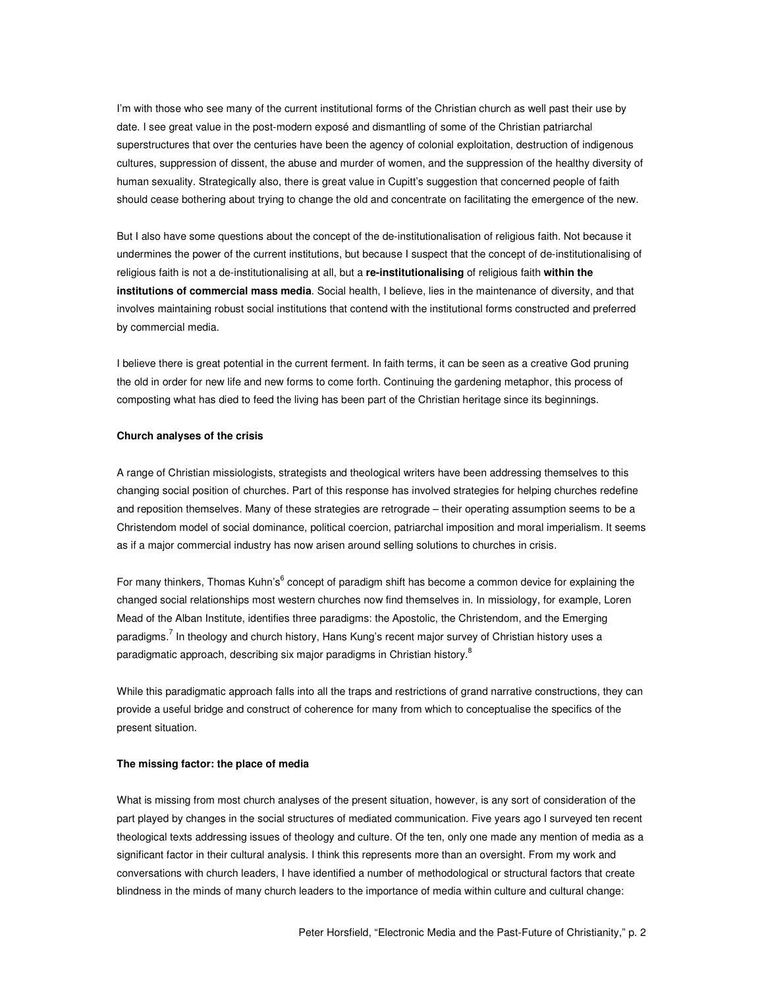I'm with those who see many of the current institutional forms of the Christian church as well past their use by date. I see great value in the post-modern exposé and dismantling of some of the Christian patriarchal superstructures that over the centuries have been the agency of colonial exploitation, destruction of indigenous cultures, suppression of dissent, the abuse and murder of women, and the suppression of the healthy diversity of human sexuality. Strategically also, there is great value in Cupitt's suggestion that concerned people of faith should cease bothering about trying to change the old and concentrate on facilitating the emergence of the new.

But I also have some questions about the concept of the de-institutionalisation of religious faith. Not because it undermines the power of the current institutions, but because I suspect that the concept of de-institutionalising of religious faith is not a de-institutionalising at all, but a **re-institutionalising** of religious faith **within the institutions of commercial mass media**. Social health, I believe, lies in the maintenance of diversity, and that involves maintaining robust social institutions that contend with the institutional forms constructed and preferred by commercial media.

I believe there is great potential in the current ferment. In faith terms, it can be seen as a creative God pruning the old in order for new life and new forms to come forth. Continuing the gardening metaphor, this process of composting what has died to feed the living has been part of the Christian heritage since its beginnings.

## **Church analyses of the crisis**

A range of Christian missiologists, strategists and theological writers have been addressing themselves to this changing social position of churches. Part of this response has involved strategies for helping churches redefine and reposition themselves. Many of these strategies are retrograde – their operating assumption seems to be a Christendom model of social dominance, political coercion, patriarchal imposition and moral imperialism. It seems as if a major commercial industry has now arisen around selling solutions to churches in crisis.

For many thinkers, Thomas Kuhn's<sup>6</sup> concept of paradigm shift has become a common device for explaining the changed social relationships most western churches now find themselves in. In missiology, for example, Loren Mead of the Alban Institute, identifies three paradigms: the Apostolic, the Christendom, and the Emerging paradigms.<sup>7</sup> In theology and church history, Hans Kung's recent major survey of Christian history uses a paradigmatic approach, describing six major paradigms in Christian history.<sup>8</sup>

While this paradigmatic approach falls into all the traps and restrictions of grand narrative constructions, they can provide a useful bridge and construct of coherence for many from which to conceptualise the specifics of the present situation.

## **The missing factor: the place of media**

What is missing from most church analyses of the present situation, however, is any sort of consideration of the part played by changes in the social structures of mediated communication. Five years ago I surveyed ten recent theological texts addressing issues of theology and culture. Of the ten, only one made any mention of media as a significant factor in their cultural analysis. I think this represents more than an oversight. From my work and conversations with church leaders, I have identified a number of methodological or structural factors that create blindness in the minds of many church leaders to the importance of media within culture and cultural change: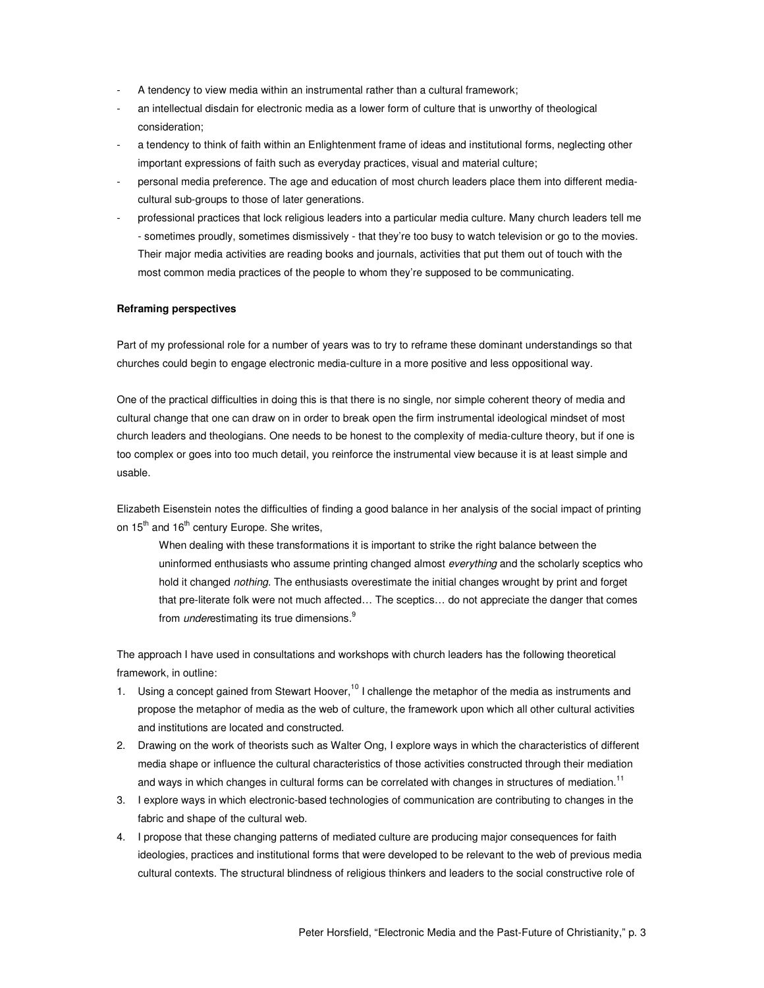- A tendency to view media within an instrumental rather than a cultural framework;
- an intellectual disdain for electronic media as a lower form of culture that is unworthy of theological consideration;
- a tendency to think of faith within an Enlightenment frame of ideas and institutional forms, neglecting other important expressions of faith such as everyday practices, visual and material culture;
- personal media preference. The age and education of most church leaders place them into different mediacultural sub-groups to those of later generations.
- professional practices that lock religious leaders into a particular media culture. Many church leaders tell me - sometimes proudly, sometimes dismissively - that they're too busy to watch television or go to the movies. Their major media activities are reading books and journals, activities that put them out of touch with the most common media practices of the people to whom they're supposed to be communicating.

## **Reframing perspectives**

Part of my professional role for a number of years was to try to reframe these dominant understandings so that churches could begin to engage electronic media-culture in a more positive and less oppositional way.

One of the practical difficulties in doing this is that there is no single, nor simple coherent theory of media and cultural change that one can draw on in order to break open the firm instrumental ideological mindset of most church leaders and theologians. One needs to be honest to the complexity of media-culture theory, but if one is too complex or goes into too much detail, you reinforce the instrumental view because it is at least simple and usable.

Elizabeth Eisenstein notes the difficulties of finding a good balance in her analysis of the social impact of printing on  $15<sup>th</sup>$  and  $16<sup>th</sup>$  century Europe. She writes,

When dealing with these transformations it is important to strike the right balance between the uninformed enthusiasts who assume printing changed almost everything and the scholarly sceptics who hold it changed nothing. The enthusiasts overestimate the initial changes wrought by print and forget that pre-literate folk were not much affected… The sceptics… do not appreciate the danger that comes from *underestimating* its true dimensions.<sup>9</sup>

The approach I have used in consultations and workshops with church leaders has the following theoretical framework, in outline:

- 1. Using a concept gained from Stewart Hoover,<sup>10</sup> I challenge the metaphor of the media as instruments and propose the metaphor of media as the web of culture, the framework upon which all other cultural activities and institutions are located and constructed.
- 2. Drawing on the work of theorists such as Walter Ong, I explore ways in which the characteristics of different media shape or influence the cultural characteristics of those activities constructed through their mediation and ways in which changes in cultural forms can be correlated with changes in structures of mediation.<sup>11</sup>
- 3. I explore ways in which electronic-based technologies of communication are contributing to changes in the fabric and shape of the cultural web.
- 4. I propose that these changing patterns of mediated culture are producing major consequences for faith ideologies, practices and institutional forms that were developed to be relevant to the web of previous media cultural contexts. The structural blindness of religious thinkers and leaders to the social constructive role of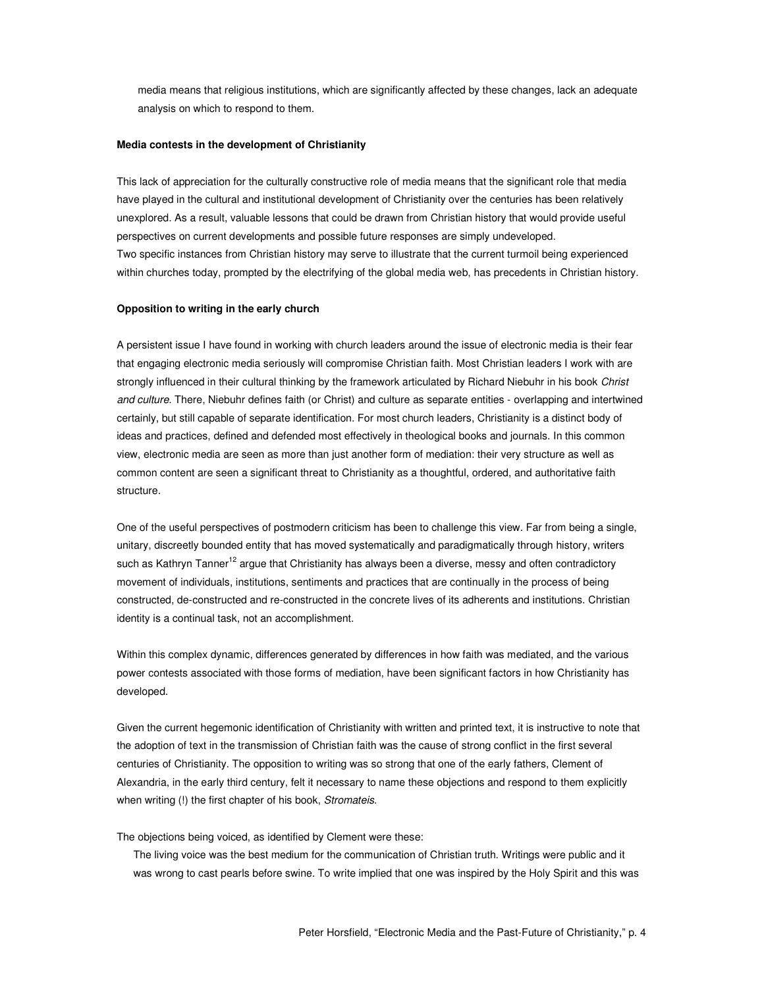media means that religious institutions, which are significantly affected by these changes, lack an adequate analysis on which to respond to them.

#### **Media contests in the development of Christianity**

This lack of appreciation for the culturally constructive role of media means that the significant role that media have played in the cultural and institutional development of Christianity over the centuries has been relatively unexplored. As a result, valuable lessons that could be drawn from Christian history that would provide useful perspectives on current developments and possible future responses are simply undeveloped. Two specific instances from Christian history may serve to illustrate that the current turmoil being experienced within churches today, prompted by the electrifying of the global media web, has precedents in Christian history.

#### **Opposition to writing in the early church**

A persistent issue I have found in working with church leaders around the issue of electronic media is their fear that engaging electronic media seriously will compromise Christian faith. Most Christian leaders I work with are strongly influenced in their cultural thinking by the framework articulated by Richard Niebuhr in his book Christ and culture. There, Niebuhr defines faith (or Christ) and culture as separate entities - overlapping and intertwined certainly, but still capable of separate identification. For most church leaders, Christianity is a distinct body of ideas and practices, defined and defended most effectively in theological books and journals. In this common view, electronic media are seen as more than just another form of mediation: their very structure as well as common content are seen a significant threat to Christianity as a thoughtful, ordered, and authoritative faith structure.

One of the useful perspectives of postmodern criticism has been to challenge this view. Far from being a single, unitary, discreetly bounded entity that has moved systematically and paradigmatically through history, writers such as Kathryn Tanner<sup>12</sup> argue that Christianity has always been a diverse, messy and often contradictory movement of individuals, institutions, sentiments and practices that are continually in the process of being constructed, de-constructed and re-constructed in the concrete lives of its adherents and institutions. Christian identity is a continual task, not an accomplishment.

Within this complex dynamic, differences generated by differences in how faith was mediated, and the various power contests associated with those forms of mediation, have been significant factors in how Christianity has developed.

Given the current hegemonic identification of Christianity with written and printed text, it is instructive to note that the adoption of text in the transmission of Christian faith was the cause of strong conflict in the first several centuries of Christianity. The opposition to writing was so strong that one of the early fathers, Clement of Alexandria, in the early third century, felt it necessary to name these objections and respond to them explicitly when writing (!) the first chapter of his book, Stromateis.

## The objections being voiced, as identified by Clement were these:

The living voice was the best medium for the communication of Christian truth. Writings were public and it was wrong to cast pearls before swine. To write implied that one was inspired by the Holy Spirit and this was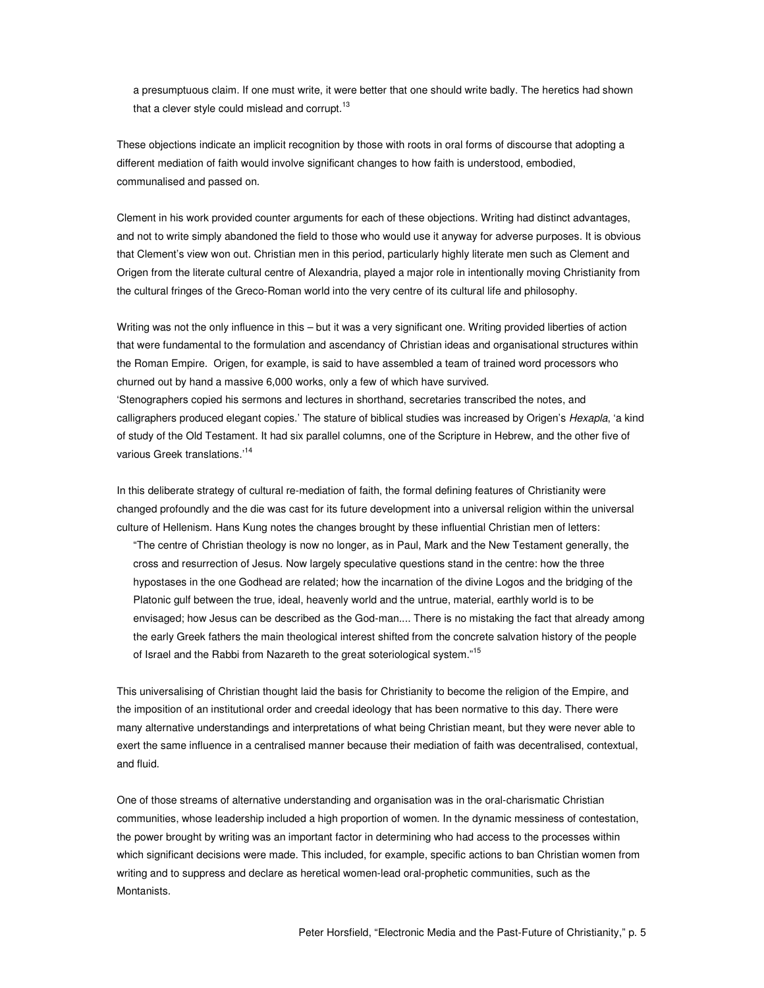a presumptuous claim. If one must write, it were better that one should write badly. The heretics had shown that a clever style could mislead and corrupt.<sup>13</sup>

These objections indicate an implicit recognition by those with roots in oral forms of discourse that adopting a different mediation of faith would involve significant changes to how faith is understood, embodied, communalised and passed on.

Clement in his work provided counter arguments for each of these objections. Writing had distinct advantages, and not to write simply abandoned the field to those who would use it anyway for adverse purposes. It is obvious that Clement's view won out. Christian men in this period, particularly highly literate men such as Clement and Origen from the literate cultural centre of Alexandria, played a major role in intentionally moving Christianity from the cultural fringes of the Greco-Roman world into the very centre of its cultural life and philosophy.

Writing was not the only influence in this – but it was a very significant one. Writing provided liberties of action that were fundamental to the formulation and ascendancy of Christian ideas and organisational structures within the Roman Empire. Origen, for example, is said to have assembled a team of trained word processors who churned out by hand a massive 6,000 works, only a few of which have survived. 'Stenographers copied his sermons and lectures in shorthand, secretaries transcribed the notes, and calligraphers produced elegant copies.' The stature of biblical studies was increased by Origen's Hexapla, 'a kind of study of the Old Testament. It had six parallel columns, one of the Scripture in Hebrew, and the other five of various Greek translations.<sup>14</sup>

In this deliberate strategy of cultural re-mediation of faith, the formal defining features of Christianity were changed profoundly and the die was cast for its future development into a universal religion within the universal culture of Hellenism. Hans Kung notes the changes brought by these influential Christian men of letters:

"The centre of Christian theology is now no longer, as in Paul, Mark and the New Testament generally, the cross and resurrection of Jesus. Now largely speculative questions stand in the centre: how the three hypostases in the one Godhead are related; how the incarnation of the divine Logos and the bridging of the Platonic gulf between the true, ideal, heavenly world and the untrue, material, earthly world is to be envisaged; how Jesus can be described as the God-man.... There is no mistaking the fact that already among the early Greek fathers the main theological interest shifted from the concrete salvation history of the people of Israel and the Rabbi from Nazareth to the great soteriological system."<sup>15</sup>

This universalising of Christian thought laid the basis for Christianity to become the religion of the Empire, and the imposition of an institutional order and creedal ideology that has been normative to this day. There were many alternative understandings and interpretations of what being Christian meant, but they were never able to exert the same influence in a centralised manner because their mediation of faith was decentralised, contextual, and fluid.

One of those streams of alternative understanding and organisation was in the oral-charismatic Christian communities, whose leadership included a high proportion of women. In the dynamic messiness of contestation, the power brought by writing was an important factor in determining who had access to the processes within which significant decisions were made. This included, for example, specific actions to ban Christian women from writing and to suppress and declare as heretical women-lead oral-prophetic communities, such as the Montanists.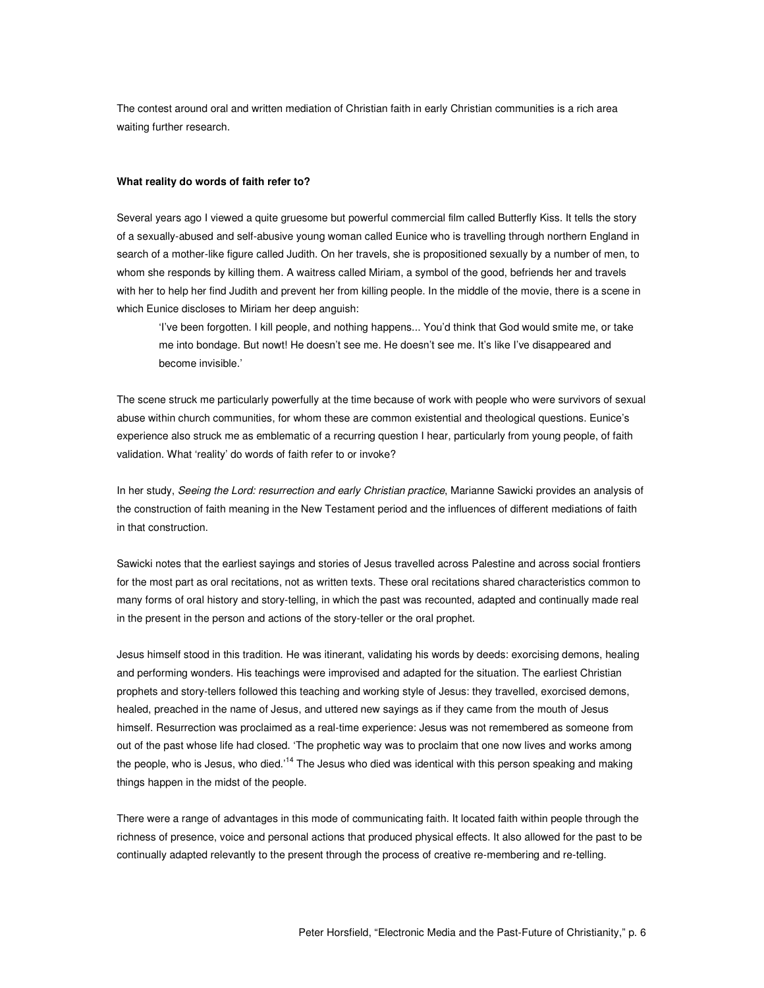The contest around oral and written mediation of Christian faith in early Christian communities is a rich area waiting further research.

#### **What reality do words of faith refer to?**

Several years ago I viewed a quite gruesome but powerful commercial film called Butterfly Kiss. It tells the story of a sexually-abused and self-abusive young woman called Eunice who is travelling through northern England in search of a mother-like figure called Judith. On her travels, she is propositioned sexually by a number of men, to whom she responds by killing them. A waitress called Miriam, a symbol of the good, befriends her and travels with her to help her find Judith and prevent her from killing people. In the middle of the movie, there is a scene in which Eunice discloses to Miriam her deep anguish:

'I've been forgotten. I kill people, and nothing happens... You'd think that God would smite me, or take me into bondage. But nowt! He doesn't see me. He doesn't see me. It's like I've disappeared and become invisible.'

The scene struck me particularly powerfully at the time because of work with people who were survivors of sexual abuse within church communities, for whom these are common existential and theological questions. Eunice's experience also struck me as emblematic of a recurring question I hear, particularly from young people, of faith validation. What 'reality' do words of faith refer to or invoke?

In her study, Seeing the Lord: resurrection and early Christian practice, Marianne Sawicki provides an analysis of the construction of faith meaning in the New Testament period and the influences of different mediations of faith in that construction.

Sawicki notes that the earliest sayings and stories of Jesus travelled across Palestine and across social frontiers for the most part as oral recitations, not as written texts. These oral recitations shared characteristics common to many forms of oral history and story-telling, in which the past was recounted, adapted and continually made real in the present in the person and actions of the story-teller or the oral prophet.

Jesus himself stood in this tradition. He was itinerant, validating his words by deeds: exorcising demons, healing and performing wonders. His teachings were improvised and adapted for the situation. The earliest Christian prophets and story-tellers followed this teaching and working style of Jesus: they travelled, exorcised demons, healed, preached in the name of Jesus, and uttered new sayings as if they came from the mouth of Jesus himself. Resurrection was proclaimed as a real-time experience: Jesus was not remembered as someone from out of the past whose life had closed. 'The prophetic way was to proclaim that one now lives and works among the people, who is Jesus, who died.<sup>14</sup> The Jesus who died was identical with this person speaking and making things happen in the midst of the people.

There were a range of advantages in this mode of communicating faith. It located faith within people through the richness of presence, voice and personal actions that produced physical effects. It also allowed for the past to be continually adapted relevantly to the present through the process of creative re-membering and re-telling.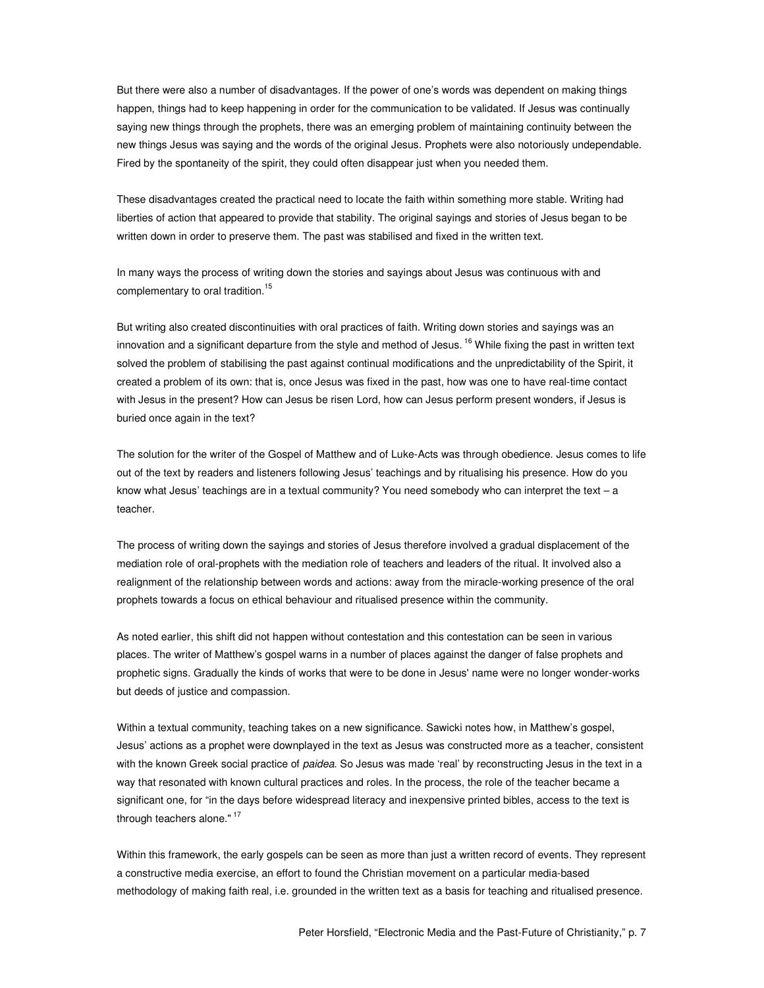But there were also a number of disadvantages. If the power of one's words was dependent on making things happen, things had to keep happening in order for the communication to be validated. If Jesus was continually saying new things through the prophets, there was an emerging problem of maintaining continuity between the new things Jesus was saying and the words of the original Jesus. Prophets were also notoriously undependable. Fired by the spontaneity of the spirit, they could often disappear just when you needed them.

These disadvantages created the practical need to locate the faith within something more stable. Writing had liberties of action that appeared to provide that stability. The original sayings and stories of Jesus began to be written down in order to preserve them. The past was stabilised and fixed in the written text.

In many ways the process of writing down the stories and sayings about Jesus was continuous with and complementary to oral tradition.<sup>15</sup>

But writing also created discontinuities with oral practices of faith. Writing down stories and sayings was an innovation and a significant departure from the style and method of Jesus.<sup>16</sup> While fixing the past in written text solved the problem of stabilising the past against continual modifications and the unpredictability of the Spirit, it created a problem of its own: that is, once Jesus was fixed in the past, how was one to have real-time contact with Jesus in the present? How can Jesus be risen Lord, how can Jesus perform present wonders, if Jesus is buried once again in the text?

The solution for the writer of the Gospel of Matthew and of Luke-Acts was through obedience. Jesus comes to life out of the text by readers and listeners following Jesus' teachings and by ritualising his presence. How do you know what Jesus' teachings are in a textual community? You need somebody who can interpret the text – a teacher.

The process of writing down the sayings and stories of Jesus therefore involved a gradual displacement of the mediation role of oral-prophets with the mediation role of teachers and leaders of the ritual. It involved also a realignment of the relationship between words and actions: away from the miracle-working presence of the oral prophets towards a focus on ethical behaviour and ritualised presence within the community.

As noted earlier, this shift did not happen without contestation and this contestation can be seen in various places. The writer of Matthew's gospel warns in a number of places against the danger of false prophets and prophetic signs. Gradually the kinds of works that were to be done in Jesus' name were no longer wonder-works but deeds of justice and compassion.

Within a textual community, teaching takes on a new significance. Sawicki notes how, in Matthew's gospel, Jesus' actions as a prophet were downplayed in the text as Jesus was constructed more as a teacher, consistent with the known Greek social practice of paidea. So Jesus was made 'real' by reconstructing Jesus in the text in a way that resonated with known cultural practices and roles. In the process, the role of the teacher became a significant one, for "in the days before widespread literacy and inexpensive printed bibles, access to the text is through teachers alone."<sup>17</sup>

Within this framework, the early gospels can be seen as more than just a written record of events. They represent a constructive media exercise, an effort to found the Christian movement on a particular media-based methodology of making faith real, i.e. grounded in the written text as a basis for teaching and ritualised presence.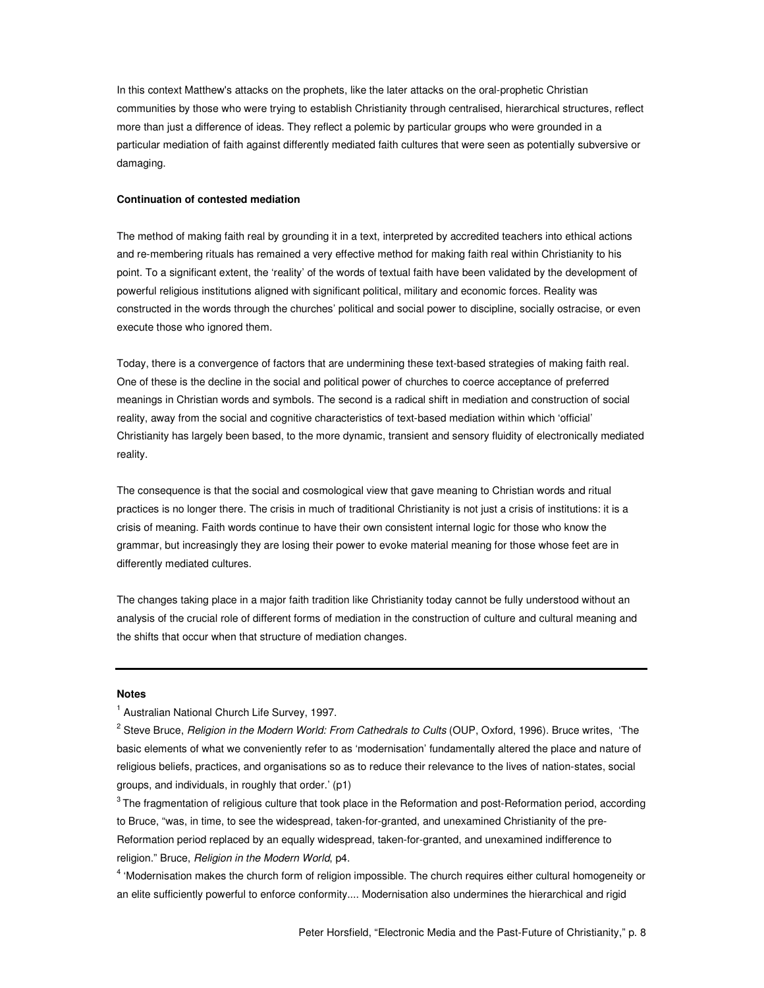In this context Matthew's attacks on the prophets, like the later attacks on the oral-prophetic Christian communities by those who were trying to establish Christianity through centralised, hierarchical structures, reflect more than just a difference of ideas. They reflect a polemic by particular groups who were grounded in a particular mediation of faith against differently mediated faith cultures that were seen as potentially subversive or damaging.

# **Continuation of contested mediation**

The method of making faith real by grounding it in a text, interpreted by accredited teachers into ethical actions and re-membering rituals has remained a very effective method for making faith real within Christianity to his point. To a significant extent, the 'reality' of the words of textual faith have been validated by the development of powerful religious institutions aligned with significant political, military and economic forces. Reality was constructed in the words through the churches' political and social power to discipline, socially ostracise, or even execute those who ignored them.

Today, there is a convergence of factors that are undermining these text-based strategies of making faith real. One of these is the decline in the social and political power of churches to coerce acceptance of preferred meanings in Christian words and symbols. The second is a radical shift in mediation and construction of social reality, away from the social and cognitive characteristics of text-based mediation within which 'official' Christianity has largely been based, to the more dynamic, transient and sensory fluidity of electronically mediated reality.

The consequence is that the social and cosmological view that gave meaning to Christian words and ritual practices is no longer there. The crisis in much of traditional Christianity is not just a crisis of institutions: it is a crisis of meaning. Faith words continue to have their own consistent internal logic for those who know the grammar, but increasingly they are losing their power to evoke material meaning for those whose feet are in differently mediated cultures.

The changes taking place in a major faith tradition like Christianity today cannot be fully understood without an analysis of the crucial role of different forms of mediation in the construction of culture and cultural meaning and the shifts that occur when that structure of mediation changes.

# **Notes**

<sup>1</sup> Australian National Church Life Survey, 1997.

 $^2$  Steve Bruce, *Religion in the Modern World: From Cathedrals to Cults* (OUP, Oxford, 1996). Bruce writes, 'The basic elements of what we conveniently refer to as 'modernisation' fundamentally altered the place and nature of religious beliefs, practices, and organisations so as to reduce their relevance to the lives of nation-states, social groups, and individuals, in roughly that order.' (p1)

 $3$  The fragmentation of religious culture that took place in the Reformation and post-Reformation period, according to Bruce, "was, in time, to see the widespread, taken-for-granted, and unexamined Christianity of the pre-Reformation period replaced by an equally widespread, taken-for-granted, and unexamined indifference to religion." Bruce, Religion in the Modern World, p4.

4 'Modernisation makes the church form of religion impossible. The church requires either cultural homogeneity or an elite sufficiently powerful to enforce conformity.... Modernisation also undermines the hierarchical and rigid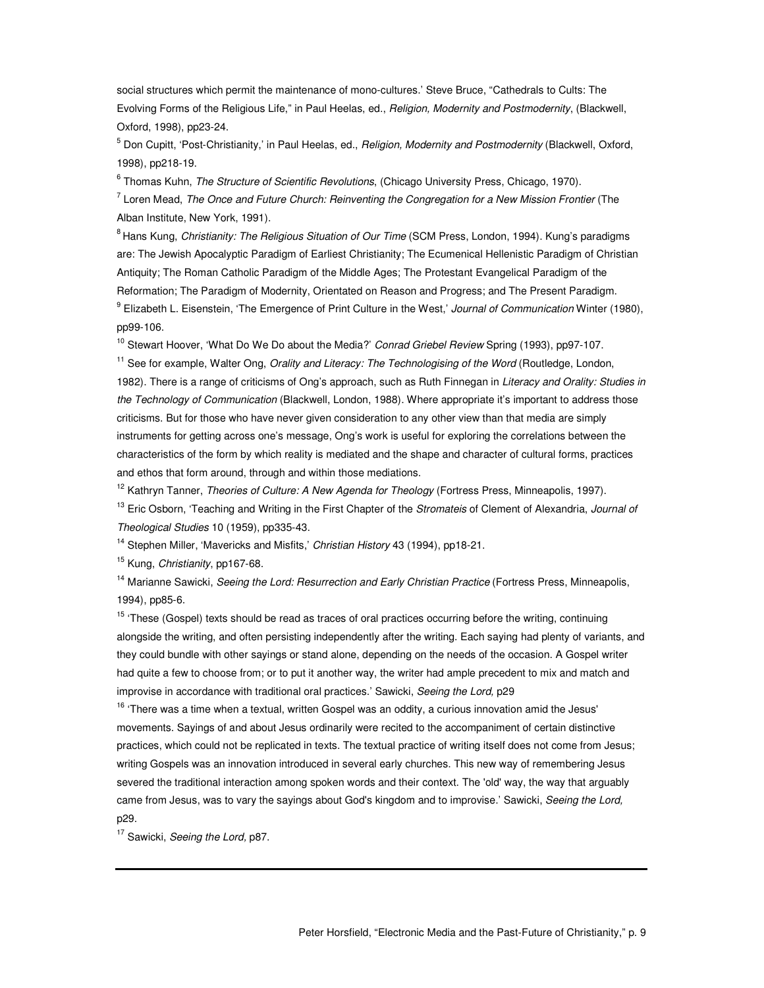social structures which permit the maintenance of mono-cultures.' Steve Bruce, "Cathedrals to Cults: The Evolving Forms of the Religious Life," in Paul Heelas, ed., Religion, Modernity and Postmodernity, (Blackwell, Oxford, 1998), pp23-24.

<sup>5</sup> Don Cupitt, 'Post-Christianity,' in Paul Heelas, ed., *Religion, Modernity and Postmodernity* (Blackwell, Oxford, 1998), pp218-19.

<sup>6</sup> Thomas Kuhn, *The Structure of Scientific Revolutions*, (Chicago University Press, Chicago, 1970).

 $^7$  Loren Mead, The Once and Future Church: Reinventing the Congregation for a New Mission Frontier (The Alban Institute, New York, 1991).

 $^8$ Hans Kung, *Christianity: The Religious Situation of Our Time* (SCM Press, London, 1994). Kung's paradigms are: The Jewish Apocalyptic Paradigm of Earliest Christianity; The Ecumenical Hellenistic Paradigm of Christian Antiquity; The Roman Catholic Paradigm of the Middle Ages; The Protestant Evangelical Paradigm of the Reformation; The Paradigm of Modernity, Orientated on Reason and Progress; and The Present Paradigm. <sup>9</sup> Elizabeth L. Eisenstein, 'The Emergence of Print Culture in the West,' Journal of Communication Winter (1980), pp99-106.

<sup>10</sup> Stewart Hoover, 'What Do We Do about the Media?' Conrad Griebel Review Spring (1993), pp97-107.

<sup>11</sup> See for example, Walter Ong, *Orality and Literacy: The Technologising of the Word* (Routledge, London, 1982). There is a range of criticisms of Ong's approach, such as Ruth Finnegan in Literacy and Orality: Studies in the Technology of Communication (Blackwell, London, 1988). Where appropriate it's important to address those criticisms. But for those who have never given consideration to any other view than that media are simply instruments for getting across one's message, Ong's work is useful for exploring the correlations between the characteristics of the form by which reality is mediated and the shape and character of cultural forms, practices and ethos that form around, through and within those mediations.

<sup>12</sup> Kathryn Tanner, Theories of Culture: A New Agenda for Theology (Fortress Press, Minneapolis, 1997). <sup>13</sup> Eric Osborn, 'Teaching and Writing in the First Chapter of the Stromateis of Clement of Alexandria, Journal of Theological Studies 10 (1959), pp335-43.

<sup>14</sup> Stephen Miller, 'Mavericks and Misfits,' Christian History 43 (1994), pp18-21.

<sup>15</sup> Kung, *Christianity*, pp167-68.

<sup>14</sup> Marianne Sawicki, *Seeing the Lord: Resurrection and Early Christian Practice* (Fortress Press, Minneapolis, 1994), pp85-6.

<sup>15</sup> 'These (Gospel) texts should be read as traces of oral practices occurring before the writing, continuing alongside the writing, and often persisting independently after the writing. Each saying had plenty of variants, and they could bundle with other sayings or stand alone, depending on the needs of the occasion. A Gospel writer had quite a few to choose from; or to put it another way, the writer had ample precedent to mix and match and improvise in accordance with traditional oral practices.' Sawicki, Seeing the Lord, p29

<sup>16</sup> 'There was a time when a textual, written Gospel was an oddity, a curious innovation amid the Jesus' movements. Sayings of and about Jesus ordinarily were recited to the accompaniment of certain distinctive practices, which could not be replicated in texts. The textual practice of writing itself does not come from Jesus; writing Gospels was an innovation introduced in several early churches. This new way of remembering Jesus severed the traditional interaction among spoken words and their context. The 'old' way, the way that arguably came from Jesus, was to vary the sayings about God's kingdom and to improvise.' Sawicki, Seeing the Lord, p29.

<sup>17</sup> Sawicki, Seeing the Lord, p87.